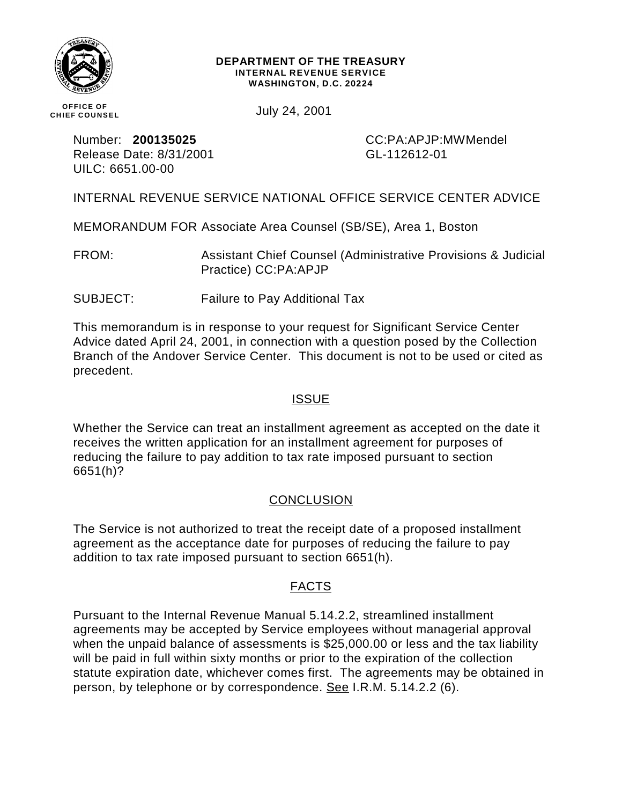

#### **DEPARTMENT OF THE TREASURY INTERNAL REVENUE SERVICE WASHINGTON, D.C. 20224**

**OFFICE OF CHIEF COUNSEL**

July 24, 2001

Release Date: 8/31/2001 CL-112612-01 UILC: 6651.00-00

Number: **200135025** CC:PA:APJP:MWMendel

INTERNAL REVENUE SERVICE NATIONAL OFFICE SERVICE CENTER ADVICE

MEMORANDUM FOR Associate Area Counsel (SB/SE), Area 1, Boston

FROM: Assistant Chief Counsel (Administrative Provisions & Judicial Practice) CC:PA:APJP

SUBJECT: Failure to Pay Additional Tax

This memorandum is in response to your request for Significant Service Center Advice dated April 24, 2001, in connection with a question posed by the Collection Branch of the Andover Service Center. This document is not to be used or cited as precedent.

## **ISSUE**

Whether the Service can treat an installment agreement as accepted on the date it receives the written application for an installment agreement for purposes of reducing the failure to pay addition to tax rate imposed pursuant to section 6651(h)?

# **CONCLUSION**

The Service is not authorized to treat the receipt date of a proposed installment agreement as the acceptance date for purposes of reducing the failure to pay addition to tax rate imposed pursuant to section 6651(h).

# FACTS

Pursuant to the Internal Revenue Manual 5.14.2.2, streamlined installment agreements may be accepted by Service employees without managerial approval when the unpaid balance of assessments is \$25,000.00 or less and the tax liability will be paid in full within sixty months or prior to the expiration of the collection statute expiration date, whichever comes first. The agreements may be obtained in person, by telephone or by correspondence. See I.R.M. 5.14.2.2 (6).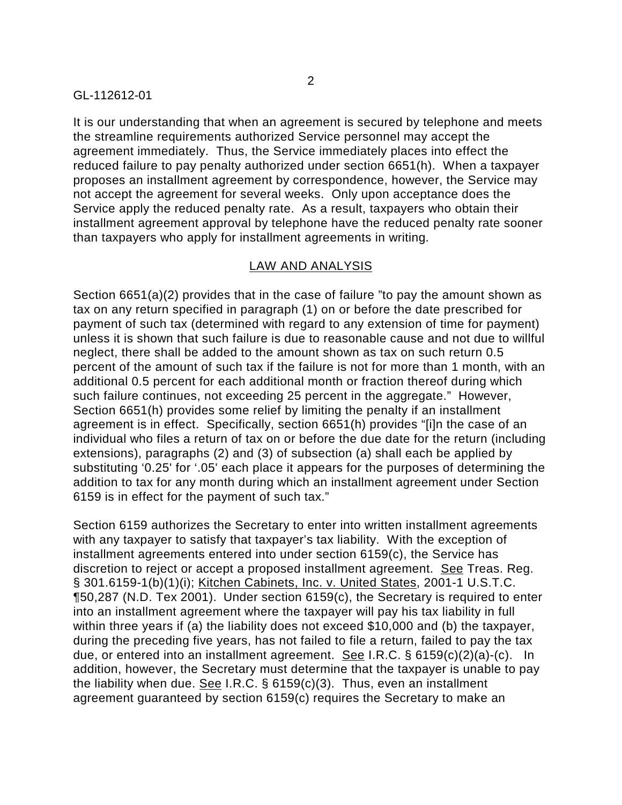It is our understanding that when an agreement is secured by telephone and meets the streamline requirements authorized Service personnel may accept the agreement immediately. Thus, the Service immediately places into effect the reduced failure to pay penalty authorized under section 6651(h). When a taxpayer proposes an installment agreement by correspondence, however, the Service may not accept the agreement for several weeks. Only upon acceptance does the Service apply the reduced penalty rate. As a result, taxpayers who obtain their installment agreement approval by telephone have the reduced penalty rate sooner than taxpayers who apply for installment agreements in writing.

### LAW AND ANALYSIS

Section 6651(a)(2) provides that in the case of failure "to pay the amount shown as tax on any return specified in paragraph (1) on or before the date prescribed for payment of such tax (determined with regard to any extension of time for payment) unless it is shown that such failure is due to reasonable cause and not due to willful neglect, there shall be added to the amount shown as tax on such return 0.5 percent of the amount of such tax if the failure is not for more than 1 month, with an additional 0.5 percent for each additional month or fraction thereof during which such failure continues, not exceeding 25 percent in the aggregate." However, Section 6651(h) provides some relief by limiting the penalty if an installment agreement is in effect. Specifically, section 6651(h) provides "[i]n the case of an individual who files a return of tax on or before the due date for the return (including extensions), paragraphs (2) and (3) of subsection (a) shall each be applied by substituting '0.25' for '.05' each place it appears for the purposes of determining the addition to tax for any month during which an installment agreement under Section 6159 is in effect for the payment of such tax."

Section 6159 authorizes the Secretary to enter into written installment agreements with any taxpayer to satisfy that taxpayer's tax liability. With the exception of installment agreements entered into under section 6159(c), the Service has discretion to reject or accept a proposed installment agreement. See Treas. Reg. § 301.6159-1(b)(1)(i); Kitchen Cabinets, Inc. v. United States, 2001-1 U.S.T.C. ¶50,287 (N.D. Tex 2001). Under section 6159(c), the Secretary is required to enter into an installment agreement where the taxpayer will pay his tax liability in full within three years if (a) the liability does not exceed \$10,000 and (b) the taxpayer, during the preceding five years, has not failed to file a return, failed to pay the tax due, or entered into an installment agreement. See I.R.C. § 6159(c)(2)(a)-(c). In addition, however, the Secretary must determine that the taxpayer is unable to pay the liability when due. See I.R.C. § 6159(c)(3). Thus, even an installment agreement guaranteed by section 6159(c) requires the Secretary to make an